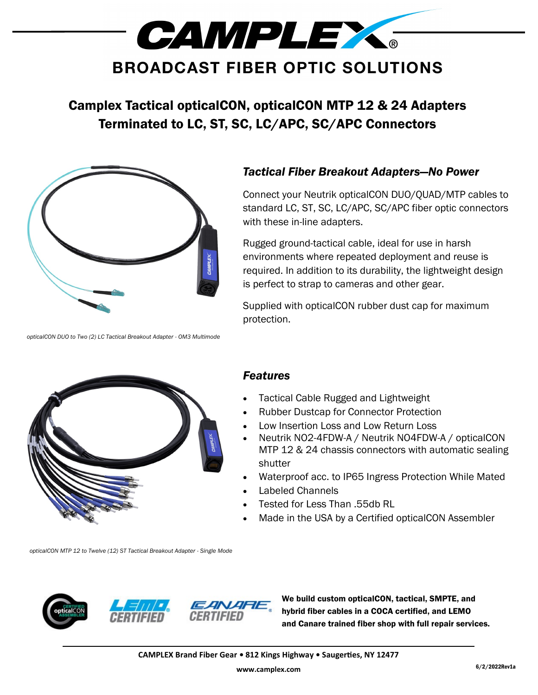

## Camplex Tactical opticalCON, opticalCON MTP 12 & 24 Adapters Terminated to LC, ST, SC, LC/APC, SC/APC Connectors



*opticalCON DUO to Two (2) LC Tactical Breakout Adapter - OM3 Multimode*

## *Tactical Fiber Breakout Adapters—No Power*

Connect your Neutrik opticalCON DUO/QUAD/MTP cables to standard LC, ST, SC, LC/APC, SC/APC fiber optic connectors with these in-line adapters.

Rugged ground-tactical cable, ideal for use in harsh environments where repeated deployment and reuse is required. In addition to its durability, the lightweight design is perfect to strap to cameras and other gear.

Supplied with opticalCON rubber dust cap for maximum protection.



## *Features*

- Tactical Cable Rugged and Lightweight
- Rubber Dustcap for Connector Protection
- Low Insertion Loss and Low Return Loss
- Neutrik NO2-4FDW-A / Neutrik NO4FDW-A / opticalCON MTP 12 & 24 chassis connectors with automatic sealing shutter
- Waterproof acc. to IP65 Ingress Protection While Mated
- Labeled Channels
- Tested for Less Than .55db RL
- Made in the USA by a Certified opticalCON Assembler

*opticalCON MTP 12 to Twelve (12) ST Tactical Breakout Adapter - Single Mode*







We build custom opticalCON, tactical, SMPTE, and hybrid fiber cables in a COCA certified, and LEMO and Canare trained fiber shop with full repair services.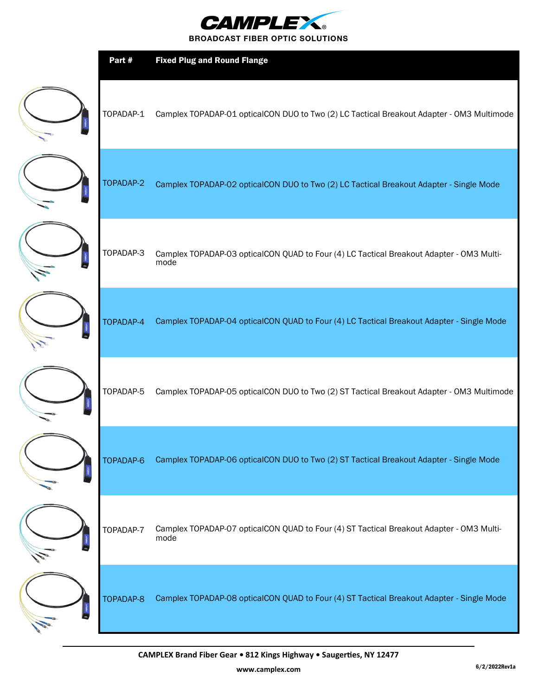

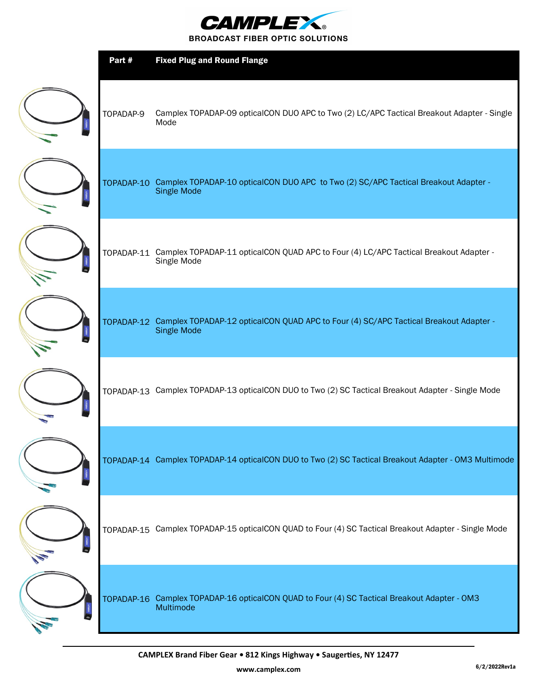

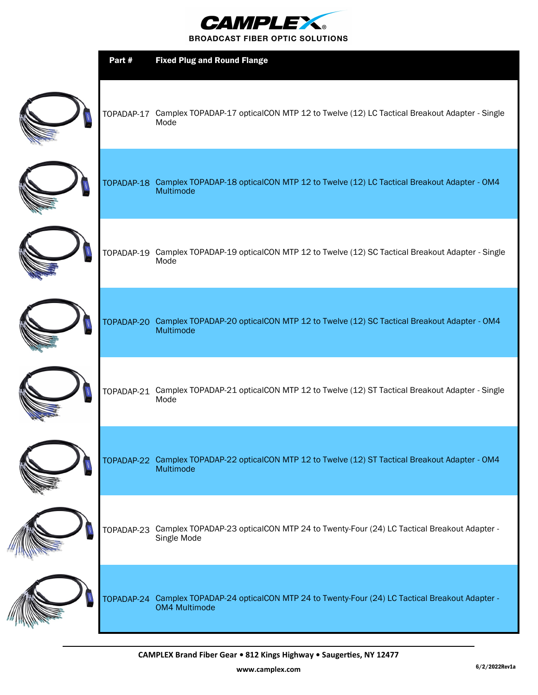